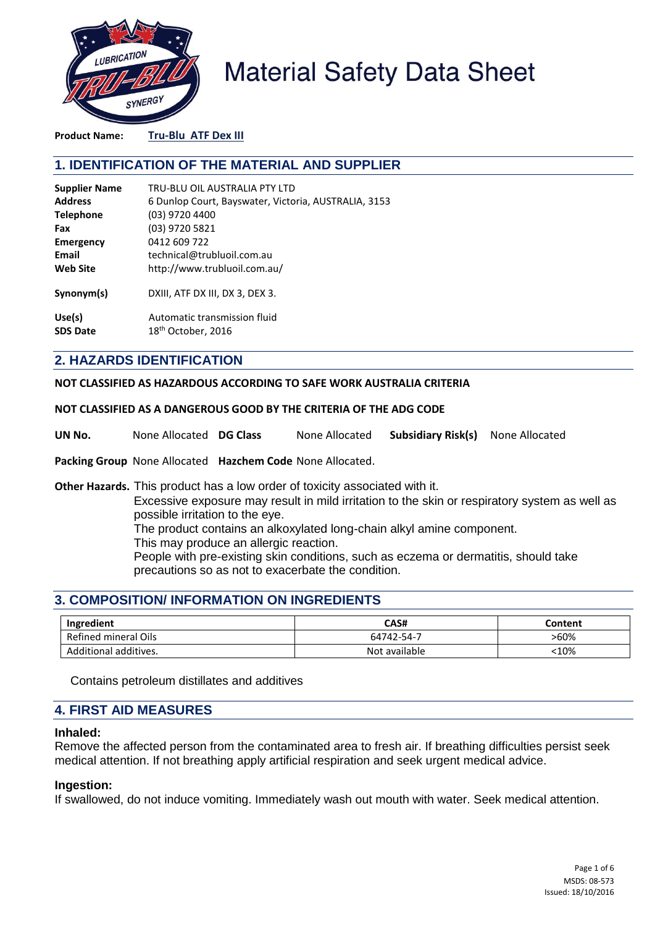

# **Material Safety Data Sheet**

**Product Name: Tru-Blu ATF Dex III**

# **1. IDENTIFICATION OF THE MATERIAL AND SUPPLIER**

| <b>Supplier Name</b> | TRU-BLU OIL AUSTRALIA PTY LTD                        |
|----------------------|------------------------------------------------------|
| <b>Address</b>       | 6 Dunlop Court, Bayswater, Victoria, AUSTRALIA, 3153 |
| <b>Telephone</b>     | (03) 9720 4400                                       |
| Fax                  | (03) 9720 5821                                       |
| <b>Emergency</b>     | 0412 609 722                                         |
| Email                | technical@trubluoil.com.au                           |
| <b>Web Site</b>      | http://www.trubluoil.com.au/                         |
| Synonym(s)           | DXIII, ATF DX III, DX 3, DEX 3.                      |
| Use(s)               | Automatic transmission fluid                         |
| <b>SDS Date</b>      | 18 <sup>th</sup> October, 2016                       |

## **2. HAZARDS IDENTIFICATION**

**NOT CLASSIFIED AS HAZARDOUS ACCORDING TO SAFE WORK AUSTRALIA CRITERIA**

#### **NOT CLASSIFIED AS A DANGEROUS GOOD BY THE CRITERIA OF THE ADG CODE**

**UN No.** None Allocated **DG Class** None Allocated **Subsidiary Risk(s)** None Allocated

**Packing Group** None Allocated **Hazchem Code** None Allocated.

**Other Hazards.** This product has a low order of toxicity associated with it.

Excessive exposure may result in mild irritation to the skin or respiratory system as well as possible irritation to the eye.

The product contains an alkoxylated long-chain alkyl amine component.

This may produce an allergic reaction.

People with pre-existing skin conditions, such as eczema or dermatitis, should take precautions so as not to exacerbate the condition.

# **3. COMPOSITION/ INFORMATION ON INGREDIENTS**

| Ingredient            | CAS#          | Content |
|-----------------------|---------------|---------|
| Refined mineral Oils  | 64742-54-7    | >60%    |
| Additional additives. | Not available | 310%    |

Contains petroleum distillates and additives

## **4. FIRST AID MEASURES**

#### **Inhaled:**

Remove the affected person from the contaminated area to fresh air. If breathing difficulties persist seek medical attention. If not breathing apply artificial respiration and seek urgent medical advice.

#### **Ingestion:**

If swallowed, do not induce vomiting. Immediately wash out mouth with water. Seek medical attention.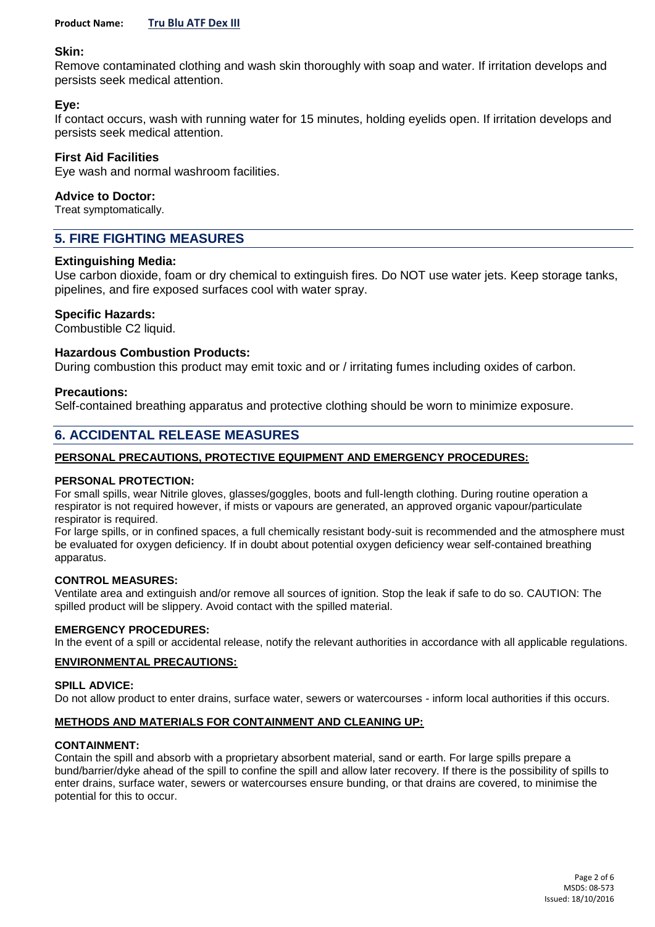## **Skin:**

Remove contaminated clothing and wash skin thoroughly with soap and water. If irritation develops and persists seek medical attention.

## **Eye:**

If contact occurs, wash with running water for 15 minutes, holding eyelids open. If irritation develops and persists seek medical attention.

## **First Aid Facilities**

Eye wash and normal washroom facilities.

#### **Advice to Doctor:**

Treat symptomatically.

# **5. FIRE FIGHTING MEASURES**

## **Extinguishing Media:**

Use carbon dioxide, foam or dry chemical to extinguish fires. Do NOT use water jets. Keep storage tanks, pipelines, and fire exposed surfaces cool with water spray.

## **Specific Hazards:**

Combustible C2 liquid.

## **Hazardous Combustion Products:**

During combustion this product may emit toxic and or / irritating fumes including oxides of carbon.

#### **Precautions:**

Self-contained breathing apparatus and protective clothing should be worn to minimize exposure.

# **6. ACCIDENTAL RELEASE MEASURES**

#### **PERSONAL PRECAUTIONS, PROTECTIVE EQUIPMENT AND EMERGENCY PROCEDURES:**

#### **PERSONAL PROTECTION:**

For small spills, wear Nitrile gloves, glasses/goggles, boots and full-length clothing. During routine operation a respirator is not required however, if mists or vapours are generated, an approved organic vapour/particulate respirator is required.

For large spills, or in confined spaces, a full chemically resistant body-suit is recommended and the atmosphere must be evaluated for oxygen deficiency. If in doubt about potential oxygen deficiency wear self-contained breathing apparatus.

#### **CONTROL MEASURES:**

Ventilate area and extinguish and/or remove all sources of ignition. Stop the leak if safe to do so. CAUTION: The spilled product will be slippery. Avoid contact with the spilled material.

#### **EMERGENCY PROCEDURES:**

In the event of a spill or accidental release, notify the relevant authorities in accordance with all applicable regulations.

#### **ENVIRONMENTAL PRECAUTIONS:**

#### **SPILL ADVICE:**

Do not allow product to enter drains, surface water, sewers or watercourses - inform local authorities if this occurs.

#### **METHODS AND MATERIALS FOR CONTAINMENT AND CLEANING UP:**

#### **CONTAINMENT:**

Contain the spill and absorb with a proprietary absorbent material, sand or earth. For large spills prepare a bund/barrier/dyke ahead of the spill to confine the spill and allow later recovery. If there is the possibility of spills to enter drains, surface water, sewers or watercourses ensure bunding, or that drains are covered, to minimise the potential for this to occur.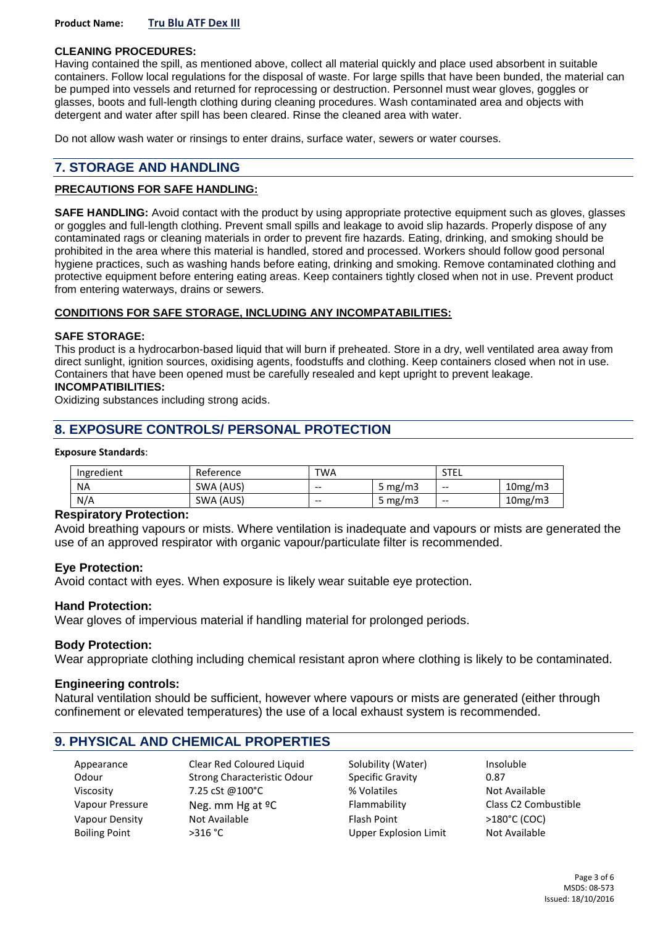**Product Name: Tru Blu ATF Dex III**

#### **CLEANING PROCEDURES:**

Having contained the spill, as mentioned above, collect all material quickly and place used absorbent in suitable containers. Follow local regulations for the disposal of waste. For large spills that have been bunded, the material can be pumped into vessels and returned for reprocessing or destruction. Personnel must wear gloves, goggles or glasses, boots and full-length clothing during cleaning procedures. Wash contaminated area and objects with detergent and water after spill has been cleared. Rinse the cleaned area with water.

Do not allow wash water or rinsings to enter drains, surface water, sewers or water courses.

# **7. STORAGE AND HANDLING**

#### **PRECAUTIONS FOR SAFE HANDLING:**

**SAFE HANDLING:** Avoid contact with the product by using appropriate protective equipment such as gloves, glasses or goggles and full-length clothing. Prevent small spills and leakage to avoid slip hazards. Properly dispose of any contaminated rags or cleaning materials in order to prevent fire hazards. Eating, drinking, and smoking should be prohibited in the area where this material is handled, stored and processed. Workers should follow good personal hygiene practices, such as washing hands before eating, drinking and smoking. Remove contaminated clothing and protective equipment before entering eating areas. Keep containers tightly closed when not in use. Prevent product from entering waterways, drains or sewers.

## **CONDITIONS FOR SAFE STORAGE, INCLUDING ANY INCOMPATABILITIES:**

#### **SAFE STORAGE:**

This product is a hydrocarbon-based liquid that will burn if preheated. Store in a dry, well ventilated area away from direct sunlight, ignition sources, oxidising agents, foodstuffs and clothing. Keep containers closed when not in use. Containers that have been opened must be carefully resealed and kept upright to prevent leakage. **INCOMPATIBILITIES:**

Oxidizing substances including strong acids.

# **8. EXPOSURE CONTROLS/ PERSONAL PROTECTION**

#### **Exposure Standards**:

| Ingredient | Reference | <b>TWA</b> |            | STEL  |         |
|------------|-----------|------------|------------|-------|---------|
| <b>NA</b>  | SWA (AUS) | $- -$      | 5 mg/m3    | $- -$ | 10mg/m3 |
| N/A        | SWA (AUS) | $- -$      | 5 mg/m $3$ | $- -$ | 10mg/m3 |

#### **Respiratory Protection:**

Avoid breathing vapours or mists. Where ventilation is inadequate and vapours or mists are generated the use of an approved respirator with organic vapour/particulate filter is recommended.

#### **Eye Protection:**

Avoid contact with eyes. When exposure is likely wear suitable eye protection.

#### **Hand Protection:**

Wear gloves of impervious material if handling material for prolonged periods.

#### **Body Protection:**

Wear appropriate clothing including chemical resistant apron where clothing is likely to be contaminated.

#### **Engineering controls:**

Natural ventilation should be sufficient, however where vapours or mists are generated (either through confinement or elevated temperatures) the use of a local exhaust system is recommended.

## **9. PHYSICAL AND CHEMICAL PROPERTIES**

| Appearance           | Clear Red Coloured Liquid    | Solubility (Water)           | Insoluble            |
|----------------------|------------------------------|------------------------------|----------------------|
| Odour                | Strong Characteristic Odour  | <b>Specific Gravity</b>      | 0.87                 |
| Viscosity            | 7.25 cSt @100°C              | % Volatiles                  | Not Available        |
| Vapour Pressure      | Neg. mm Hg at <sup>o</sup> C | Flammability                 | Class C2 Combustible |
| Vapour Density       | Not Available                | <b>Flash Point</b>           | >180°C (COC)         |
| <b>Boiling Point</b> | >316 °C                      | <b>Upper Explosion Limit</b> | Not Available        |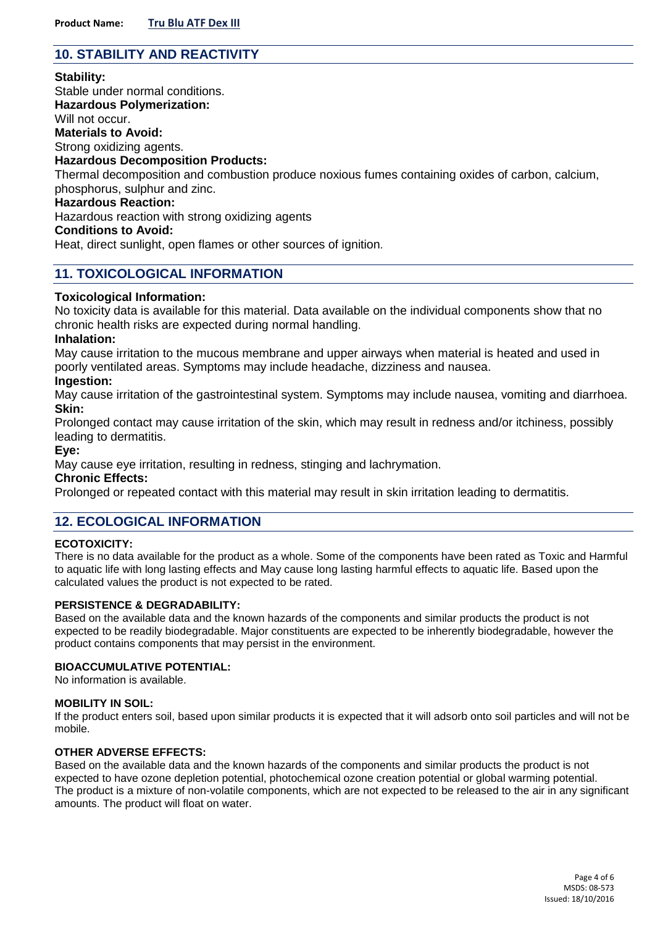# **10. STABILITY AND REACTIVITY**

## **Stability:**

Stable under normal conditions. **Hazardous Polymerization:** Will not occur. **Materials to Avoid:** Strong oxidizing agents. **Hazardous Decomposition Products:** Thermal decomposition and combustion produce noxious fumes containing oxides of carbon, calcium, phosphorus, sulphur and zinc.

## **Hazardous Reaction:**

Hazardous reaction with strong oxidizing agents

#### **Conditions to Avoid:**

Heat, direct sunlight, open flames or other sources of ignition.

## **11. TOXICOLOGICAL INFORMATION**

#### **Toxicological Information:**

No toxicity data is available for this material. Data available on the individual components show that no chronic health risks are expected during normal handling.

#### **Inhalation:**

May cause irritation to the mucous membrane and upper airways when material is heated and used in poorly ventilated areas. Symptoms may include headache, dizziness and nausea.

## **Ingestion:**

May cause irritation of the gastrointestinal system. Symptoms may include nausea, vomiting and diarrhoea. **Skin:**

Prolonged contact may cause irritation of the skin, which may result in redness and/or itchiness, possibly leading to dermatitis.

#### **Eye:**

May cause eye irritation, resulting in redness, stinging and lachrymation.

#### **Chronic Effects:**

Prolonged or repeated contact with this material may result in skin irritation leading to dermatitis.

## **12. ECOLOGICAL INFORMATION**

#### **ECOTOXICITY:**

There is no data available for the product as a whole. Some of the components have been rated as Toxic and Harmful to aquatic life with long lasting effects and May cause long lasting harmful effects to aquatic life. Based upon the calculated values the product is not expected to be rated.

#### **PERSISTENCE & DEGRADABILITY:**

Based on the available data and the known hazards of the components and similar products the product is not expected to be readily biodegradable. Major constituents are expected to be inherently biodegradable, however the product contains components that may persist in the environment.

#### **BIOACCUMULATIVE POTENTIAL:**

No information is available.

#### **MOBILITY IN SOIL:**

If the product enters soil, based upon similar products it is expected that it will adsorb onto soil particles and will not be mobile.

#### **OTHER ADVERSE EFFECTS:**

Based on the available data and the known hazards of the components and similar products the product is not expected to have ozone depletion potential, photochemical ozone creation potential or global warming potential. The product is a mixture of non-volatile components, which are not expected to be released to the air in any significant amounts. The product will float on water.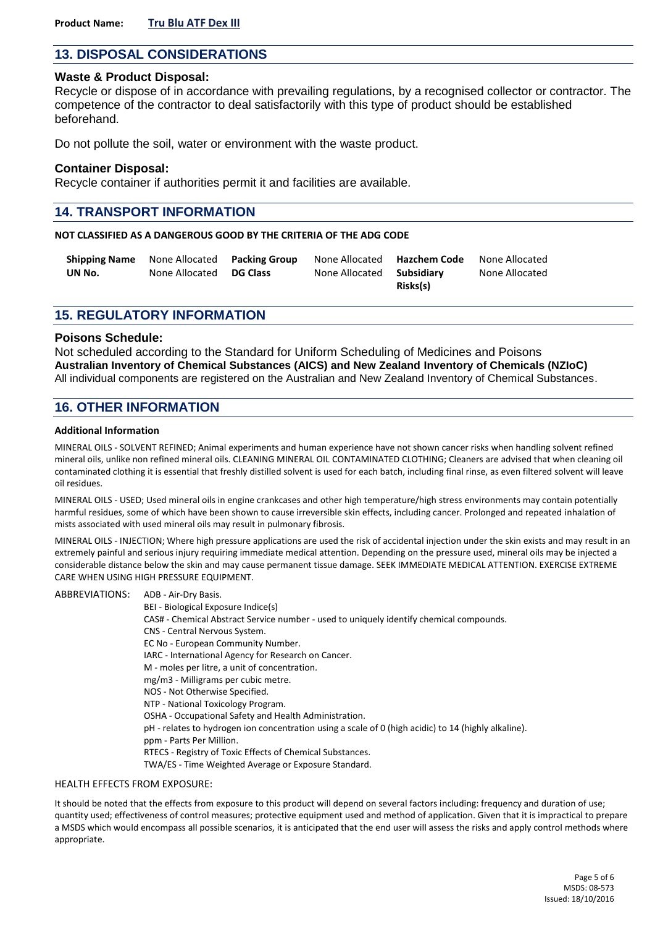# **13. DISPOSAL CONSIDERATIONS**

#### **Waste & Product Disposal:**

Recycle or dispose of in accordance with prevailing regulations, by a recognised collector or contractor. The competence of the contractor to deal satisfactorily with this type of product should be established beforehand.

Do not pollute the soil, water or environment with the waste product.

#### **Container Disposal:**

Recycle container if authorities permit it and facilities are available.

## **14. TRANSPORT INFORMATION**

#### **NOT CLASSIFIED AS A DANGEROUS GOOD BY THE CRITERIA OF THE ADG CODE**

| <b>Shipping Name</b> | None Allocated Packing Group | None Allocated | Hazchem Code | None Allocated |
|----------------------|------------------------------|----------------|--------------|----------------|
| UN No.               | None Allocated DG Class      | None Allocated | Subsidiarv   | None Allocated |
|                      |                              |                | Risks(s)     |                |

## **15. REGULATORY INFORMATION**

#### **Poisons Schedule:**

Not scheduled according to the Standard for Uniform Scheduling of Medicines and Poisons **Australian Inventory of Chemical Substances (AICS) and New Zealand Inventory of Chemicals (NZIoC)** All individual components are registered on the Australian and New Zealand Inventory of Chemical Substances.

## **16. OTHER INFORMATION**

#### **Additional Information**

MINERAL OILS - SOLVENT REFINED; Animal experiments and human experience have not shown cancer risks when handling solvent refined mineral oils, unlike non refined mineral oils. CLEANING MINERAL OIL CONTAMINATED CLOTHING; Cleaners are advised that when cleaning oil contaminated clothing it is essential that freshly distilled solvent is used for each batch, including final rinse, as even filtered solvent will leave oil residues.

MINERAL OILS - USED; Used mineral oils in engine crankcases and other high temperature/high stress environments may contain potentially harmful residues, some of which have been shown to cause irreversible skin effects, including cancer. Prolonged and repeated inhalation of mists associated with used mineral oils may result in pulmonary fibrosis.

MINERAL OILS - INJECTION; Where high pressure applications are used the risk of accidental injection under the skin exists and may result in an extremely painful and serious injury requiring immediate medical attention. Depending on the pressure used, mineral oils may be injected a considerable distance below the skin and may cause permanent tissue damage. SEEK IMMEDIATE MEDICAL ATTENTION. EXERCISE EXTREME CARE WHEN USING HIGH PRESSURE EQUIPMENT.

#### ABBREVIATIONS: ADB - Air-Dry Basis.

- BEI Biological Exposure Indice(s)
	- CAS# Chemical Abstract Service number used to uniquely identify chemical compounds.
	- CNS Central Nervous System.
	- EC No European Community Number.
	- IARC International Agency for Research on Cancer.
	- M moles per litre, a unit of concentration.
	- mg/m3 Milligrams per cubic metre.
	- NOS Not Otherwise Specified.
	- NTP National Toxicology Program.
	- OSHA Occupational Safety and Health Administration.
	- pH relates to hydrogen ion concentration using a scale of 0 (high acidic) to 14 (highly alkaline).
	- ppm Parts Per Million.
	- RTECS Registry of Toxic Effects of Chemical Substances.
	- TWA/ES Time Weighted Average or Exposure Standard.

#### HEALTH EFFECTS FROM EXPOSURE:

It should be noted that the effects from exposure to this product will depend on several factors including: frequency and duration of use; quantity used; effectiveness of control measures; protective equipment used and method of application. Given that it is impractical to prepare a MSDS which would encompass all possible scenarios, it is anticipated that the end user will assess the risks and apply control methods where appropriate.